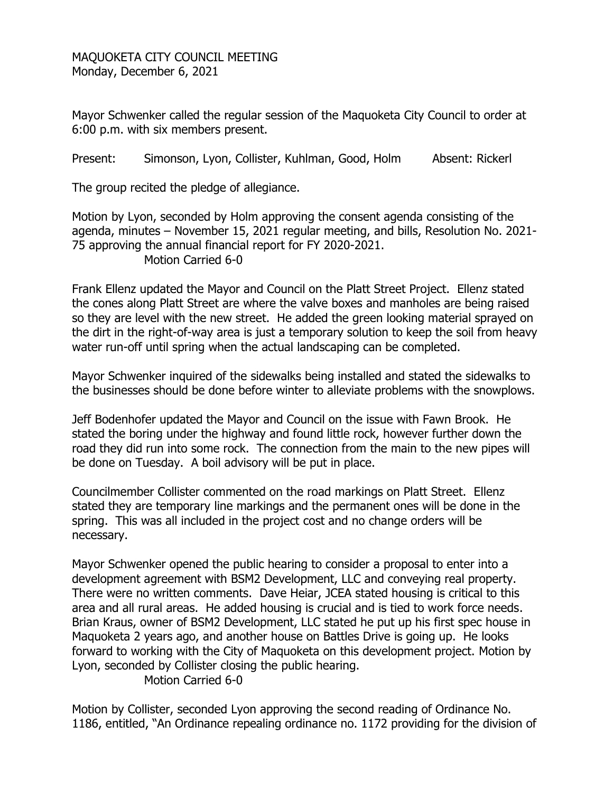MAQUOKETA CITY COUNCIL MEETING Monday, December 6, 2021

Mayor Schwenker called the regular session of the Maquoketa City Council to order at 6:00 p.m. with six members present.

Present: Simonson, Lyon, Collister, Kuhlman, Good, Holm Absent: Rickerl

The group recited the pledge of allegiance.

Motion by Lyon, seconded by Holm approving the consent agenda consisting of the agenda, minutes – November 15, 2021 regular meeting, and bills, Resolution No. 2021- 75 approving the annual financial report for FY 2020-2021. Motion Carried 6-0

Frank Ellenz updated the Mayor and Council on the Platt Street Project. Ellenz stated the cones along Platt Street are where the valve boxes and manholes are being raised so they are level with the new street. He added the green looking material sprayed on the dirt in the right-of-way area is just a temporary solution to keep the soil from heavy water run-off until spring when the actual landscaping can be completed.

Mayor Schwenker inquired of the sidewalks being installed and stated the sidewalks to the businesses should be done before winter to alleviate problems with the snowplows.

Jeff Bodenhofer updated the Mayor and Council on the issue with Fawn Brook. He stated the boring under the highway and found little rock, however further down the road they did run into some rock. The connection from the main to the new pipes will be done on Tuesday. A boil advisory will be put in place.

Councilmember Collister commented on the road markings on Platt Street. Ellenz stated they are temporary line markings and the permanent ones will be done in the spring. This was all included in the project cost and no change orders will be necessary.

Mayor Schwenker opened the public hearing to consider a proposal to enter into a development agreement with BSM2 Development, LLC and conveying real property. There were no written comments. Dave Heiar, JCEA stated housing is critical to this area and all rural areas. He added housing is crucial and is tied to work force needs. Brian Kraus, owner of BSM2 Development, LLC stated he put up his first spec house in Maquoketa 2 years ago, and another house on Battles Drive is going up. He looks forward to working with the City of Maquoketa on this development project. Motion by Lyon, seconded by Collister closing the public hearing.

Motion Carried 6-0

Motion by Collister, seconded Lyon approving the second reading of Ordinance No. 1186, entitled, "An Ordinance repealing ordinance no. 1172 providing for the division of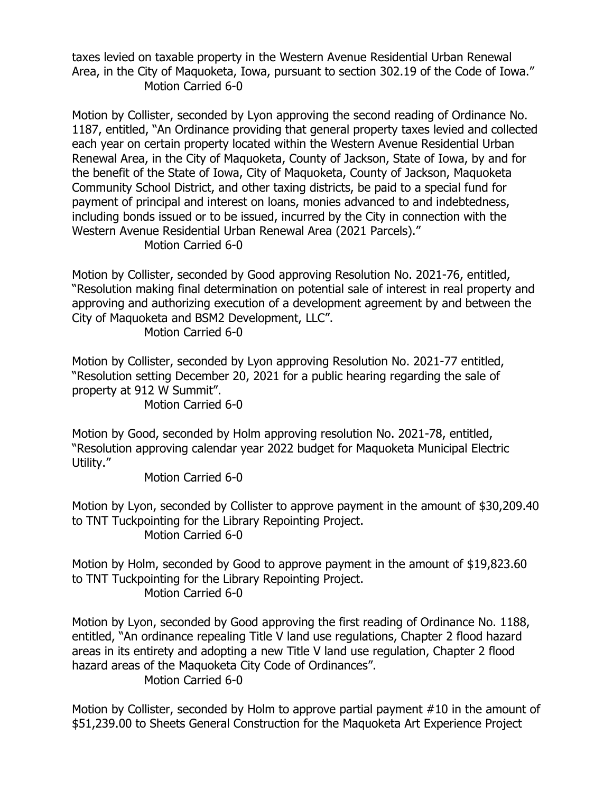taxes levied on taxable property in the Western Avenue Residential Urban Renewal Area, in the City of Maquoketa, Iowa, pursuant to section 302.19 of the Code of Iowa." Motion Carried 6-0

Motion by Collister, seconded by Lyon approving the second reading of Ordinance No. 1187, entitled, "An Ordinance providing that general property taxes levied and collected each year on certain property located within the Western Avenue Residential Urban Renewal Area, in the City of Maquoketa, County of Jackson, State of Iowa, by and for the benefit of the State of Iowa, City of Maquoketa, County of Jackson, Maquoketa Community School District, and other taxing districts, be paid to a special fund for payment of principal and interest on loans, monies advanced to and indebtedness, including bonds issued or to be issued, incurred by the City in connection with the Western Avenue Residential Urban Renewal Area (2021 Parcels)."

Motion Carried 6-0

Motion by Collister, seconded by Good approving Resolution No. 2021-76, entitled, "Resolution making final determination on potential sale of interest in real property and approving and authorizing execution of a development agreement by and between the City of Maquoketa and BSM2 Development, LLC".

Motion Carried 6-0

Motion by Collister, seconded by Lyon approving Resolution No. 2021-77 entitled, "Resolution setting December 20, 2021 for a public hearing regarding the sale of property at 912 W Summit".

Motion Carried 6-0

Motion by Good, seconded by Holm approving resolution No. 2021-78, entitled, "Resolution approving calendar year 2022 budget for Maquoketa Municipal Electric Utility."

Motion Carried 6-0

Motion by Lyon, seconded by Collister to approve payment in the amount of \$30,209.40 to TNT Tuckpointing for the Library Repointing Project.

Motion Carried 6-0

Motion by Holm, seconded by Good to approve payment in the amount of \$19,823.60 to TNT Tuckpointing for the Library Repointing Project. Motion Carried 6-0

Motion by Lyon, seconded by Good approving the first reading of Ordinance No. 1188, entitled, "An ordinance repealing Title V land use regulations, Chapter 2 flood hazard areas in its entirety and adopting a new Title V land use regulation, Chapter 2 flood hazard areas of the Maquoketa City Code of Ordinances".

Motion Carried 6-0

Motion by Collister, seconded by Holm to approve partial payment #10 in the amount of \$51,239.00 to Sheets General Construction for the Maquoketa Art Experience Project